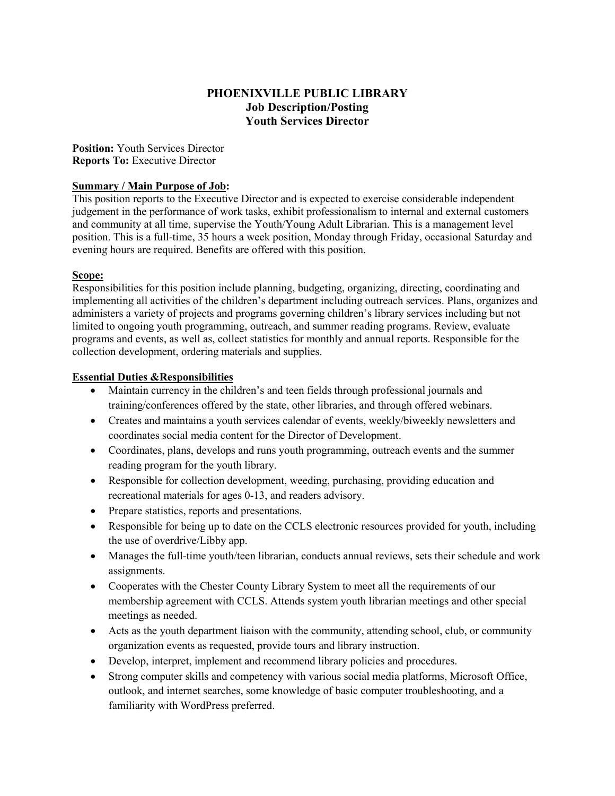#### **PHOENIXVILLE PUBLIC LIBRARY Job Description/Posting Youth Services Director**

**Position:** Youth Services Director **Reports To:** Executive Director

#### **Summary / Main Purpose of Job:**

This position reports to the Executive Director and is expected to exercise considerable independent judgement in the performance of work tasks, exhibit professionalism to internal and external customers and community at all time, supervise the Youth/Young Adult Librarian. This is a management level position. This is a full-time, 35 hours a week position, Monday through Friday, occasional Saturday and evening hours are required. Benefits are offered with this position.

#### **Scope:**

Responsibilities for this position include planning, budgeting, organizing, directing, coordinating and implementing all activities of the children's department including outreach services. Plans, organizes and administers a variety of projects and programs governing children's library services including but not limited to ongoing youth programming, outreach, and summer reading programs. Review, evaluate programs and events, as well as, collect statistics for monthly and annual reports. Responsible for the collection development, ordering materials and supplies.

#### **Essential Duties &Responsibilities**

- Maintain currency in the children's and teen fields through professional journals and training/conferences offered by the state, other libraries, and through offered webinars.
- Creates and maintains a youth services calendar of events, weekly/biweekly newsletters and coordinates social media content for the Director of Development.
- Coordinates, plans, develops and runs youth programming, outreach events and the summer reading program for the youth library.
- Responsible for collection development, weeding, purchasing, providing education and recreational materials for ages 0-13, and readers advisory.
- Prepare statistics, reports and presentations.
- Responsible for being up to date on the CCLS electronic resources provided for youth, including the use of overdrive/Libby app.
- Manages the full-time youth/teen librarian, conducts annual reviews, sets their schedule and work assignments.
- Cooperates with the Chester County Library System to meet all the requirements of our membership agreement with CCLS. Attends system youth librarian meetings and other special meetings as needed.
- Acts as the youth department liaison with the community, attending school, club, or community organization events as requested, provide tours and library instruction.
- Develop, interpret, implement and recommend library policies and procedures.
- Strong computer skills and competency with various social media platforms, Microsoft Office, outlook, and internet searches, some knowledge of basic computer troubleshooting, and a familiarity with WordPress preferred.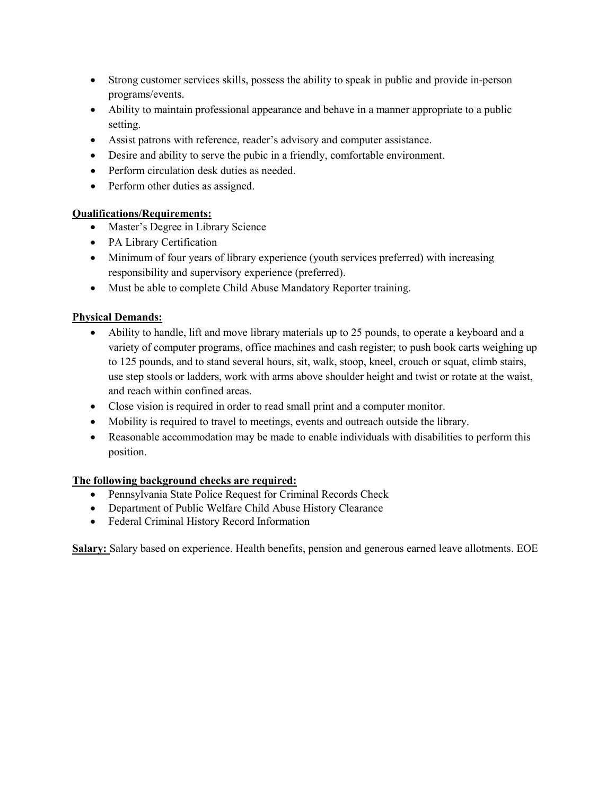- Strong customer services skills, possess the ability to speak in public and provide in-person programs/events.
- Ability to maintain professional appearance and behave in a manner appropriate to a public setting.
- Assist patrons with reference, reader's advisory and computer assistance.
- Desire and ability to serve the pubic in a friendly, comfortable environment.
- Perform circulation desk duties as needed.
- Perform other duties as assigned.

## **Qualifications/Requirements:**

- Master's Degree in Library Science
- PA Library Certification
- Minimum of four years of library experience (youth services preferred) with increasing responsibility and supervisory experience (preferred).
- Must be able to complete Child Abuse Mandatory Reporter training.

## **Physical Demands:**

- Ability to handle, lift and move library materials up to 25 pounds, to operate a keyboard and a variety of computer programs, office machines and cash register; to push book carts weighing up to 125 pounds, and to stand several hours, sit, walk, stoop, kneel, crouch or squat, climb stairs, use step stools or ladders, work with arms above shoulder height and twist or rotate at the waist, and reach within confined areas.
- Close vision is required in order to read small print and a computer monitor.
- Mobility is required to travel to meetings, events and outreach outside the library.
- Reasonable accommodation may be made to enable individuals with disabilities to perform this position.

## **The following background checks are required:**

- Pennsylvania State Police Request for Criminal Records Check
- Department of Public Welfare Child Abuse History Clearance
- Federal Criminal History Record Information

**Salary:** Salary based on experience. Health benefits, pension and generous earned leave allotments. EOE